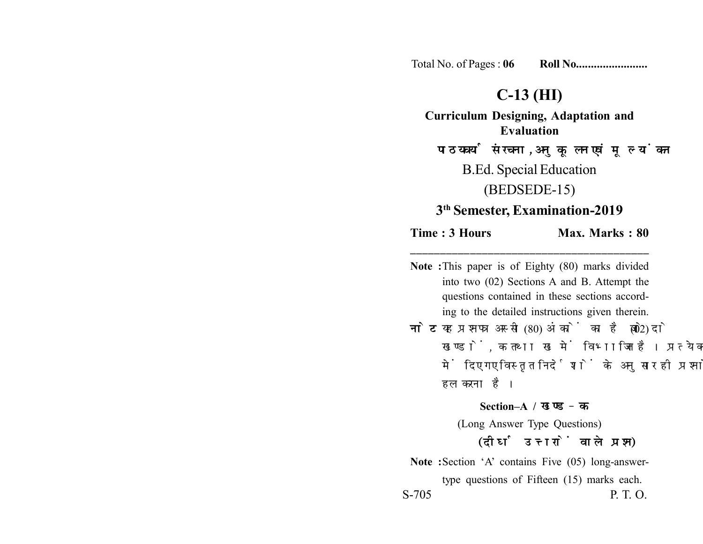Total No. of Pages : **06 Roll No........................**

## **C-13 (HI)**

**Curriculum Designing, Adaptation and Evaluation** पाठयचर्या संरचना, अनुकूलन एवं मूल्यांकन

B.Ed. Special Education

(BEDSEDE-15)

# **3th Semester, Examination-2019**

### **Time : 3 Hours Max. Marks : 80 \_\_\_\_\_\_\_\_\_\_\_\_\_\_\_\_\_\_\_\_\_\_\_\_\_\_\_\_\_\_\_\_\_\_\_\_\_\_\_\_**

**Note :**This paper is of Eighty (80) marks divided into two (02) Sections A and B. Attempt the questions contained in these sections according to the detailed instructions given therein. **नोट:** यह प्रश्नपत्र अस्सी (80) अंकों का है जो दो (02) खण्डों, क तथा ख में विभाजित है। प्रत्येक खण्ड में दिए गए विस्तृत निर्देशों के अनुसार ही प्रश्नों को हल करना है। **Section–A /**  (Long Answer Type Questions)

### (दीर्घ उत्तरों वाले प्रश्न)

**Note :**Section 'A' contains Five (05) long-answertype questions of Fifteen (15) marks each. S-705 P. T. O.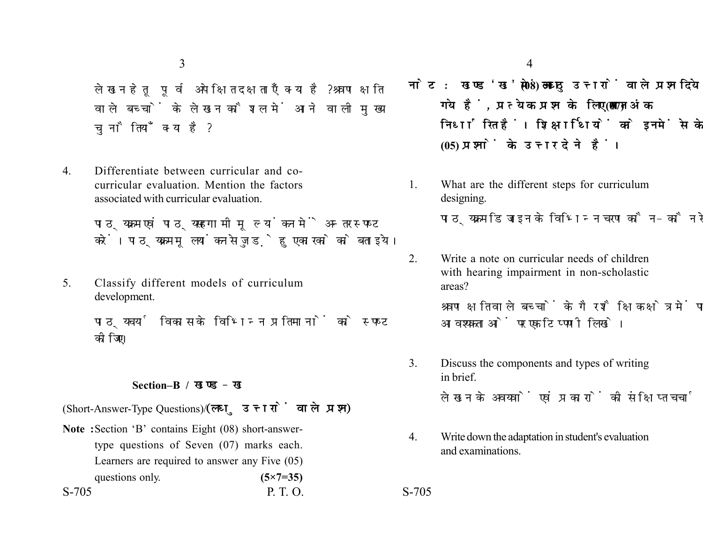3

लेखन हेतु पूर्व अपेक्षित दक्षताएँ क्या है? श्रवण क्षति वाले बच्चों के लेखन कौशल में आने वाली मुख्य चनौतियाँ क्या है?

4. Differentiate between curricular and cocurricular evaluation. Mention the factors associated with curricular evaluation.

> पाठ्यक्रम एवं पाठ्यसहगामी मुल्यांकन में अन्तर स्पष्ट करें। पाठ्यक्रम मूलयांकन से जुड़े हुए कारको को बताइये।

5. Classify different models of curriculum development.

> पाठ्यचर्या विकास के विभिन्न प्रतिमानों को स्पष्ट कोजिए।

#### **Section–B /**

(Short-Answer-Type Questions) (लघु उत्तरों वाले प्रश्न)

S-705 P. T. O. S-705 **Note :**Section 'B' contains Eight (08) short-answertype questions of Seven (07) marks each. Learners are required to answer any Five (05) questions only. **(5×7=35)** 

- नोट: खण्ड'ख' में आठ (08) लघु उत्तरों वाले प्रश्न दिये गये हैं, प्रत्येक प्रश्न के लिए सात (07) अंक निर्धारित हैं। शिक्षार्थियों को इनमें से केवल पाँच **(05) प्रश्नों के उत्तर देने हैं।**
- 1. What are the different steps for curriculum designing.

पाठयक्रम डिजाइन के विभिन्न चरण कौन-कौन से है ?

2. Write a note on curricular needs of children with hearing impairment in non-scholastic areas?

> श्रवण क्षति वाले बच्चों के गैर शैक्षिक क्षेत्र में पाठ्यक्रम आवश्यकताओं पर एक टिप्पणी लिखे।

3. Discuss the components and types of writing in brief.

लेखन के अवयवों एवं प्रकारों की संक्षिप्त चर्चा करें।

4. Write down the adaptation in student's evaluation and examinations.